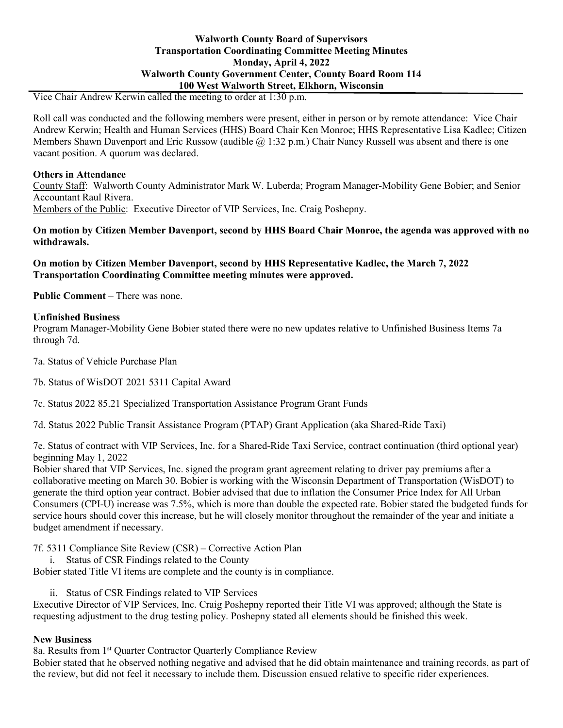# **Walworth County Board of Supervisors Transportation Coordinating Committee Meeting Minutes Monday, April 4, 2022 Walworth County Government Center, County Board Room 114 100 West Walworth Street, Elkhorn, Wisconsin**

Vice Chair Andrew Kerwin called the meeting to order at 1:30 p.m.

Roll call was conducted and the following members were present, either in person or by remote attendance: Vice Chair Andrew Kerwin; Health and Human Services (HHS) Board Chair Ken Monroe; HHS Representative Lisa Kadlec; Citizen Members Shawn Davenport and Eric Russow (audible @ 1:32 p.m.) Chair Nancy Russell was absent and there is one vacant position. A quorum was declared.

#### **Others in Attendance**

County Staff: Walworth County Administrator Mark W. Luberda; Program Manager-Mobility Gene Bobier; and Senior Accountant Raul Rivera. Members of the Public: Executive Director of VIP Services, Inc. Craig Poshepny.

**On motion by Citizen Member Davenport, second by HHS Board Chair Monroe, the agenda was approved with no withdrawals.**

**On motion by Citizen Member Davenport, second by HHS Representative Kadlec, the March 7, 2022 Transportation Coordinating Committee meeting minutes were approved.**

**Public Comment** – There was none.

#### **Unfinished Business**

Program Manager-Mobility Gene Bobier stated there were no new updates relative to Unfinished Business Items 7a through 7d.

7a. Status of Vehicle Purchase Plan

7b. Status of WisDOT 2021 5311 Capital Award

7c. Status 2022 85.21 Specialized Transportation Assistance Program Grant Funds

7d. Status 2022 Public Transit Assistance Program (PTAP) Grant Application (aka Shared-Ride Taxi)

7e. Status of contract with VIP Services, Inc. for a Shared-Ride Taxi Service, contract continuation (third optional year) beginning May 1, 2022

Bobier shared that VIP Services, Inc. signed the program grant agreement relating to driver pay premiums after a collaborative meeting on March 30. Bobier is working with the Wisconsin Department of Transportation (WisDOT) to generate the third option year contract. Bobier advised that due to inflation the Consumer Price Index for All Urban Consumers (CPI-U) increase was 7.5%, which is more than double the expected rate. Bobier stated the budgeted funds for service hours should cover this increase, but he will closely monitor throughout the remainder of the year and initiate a budget amendment if necessary.

7f. 5311 Compliance Site Review (CSR) – Corrective Action Plan

i. Status of CSR Findings related to the County

Bobier stated Title VI items are complete and the county is in compliance.

ii. Status of CSR Findings related to VIP Services

Executive Director of VIP Services, Inc. Craig Poshepny reported their Title VI was approved; although the State is requesting adjustment to the drug testing policy. Poshepny stated all elements should be finished this week.

#### **New Business**

8a. Results from 1<sup>st</sup> Quarter Contractor Quarterly Compliance Review

Bobier stated that he observed nothing negative and advised that he did obtain maintenance and training records, as part of the review, but did not feel it necessary to include them. Discussion ensued relative to specific rider experiences.